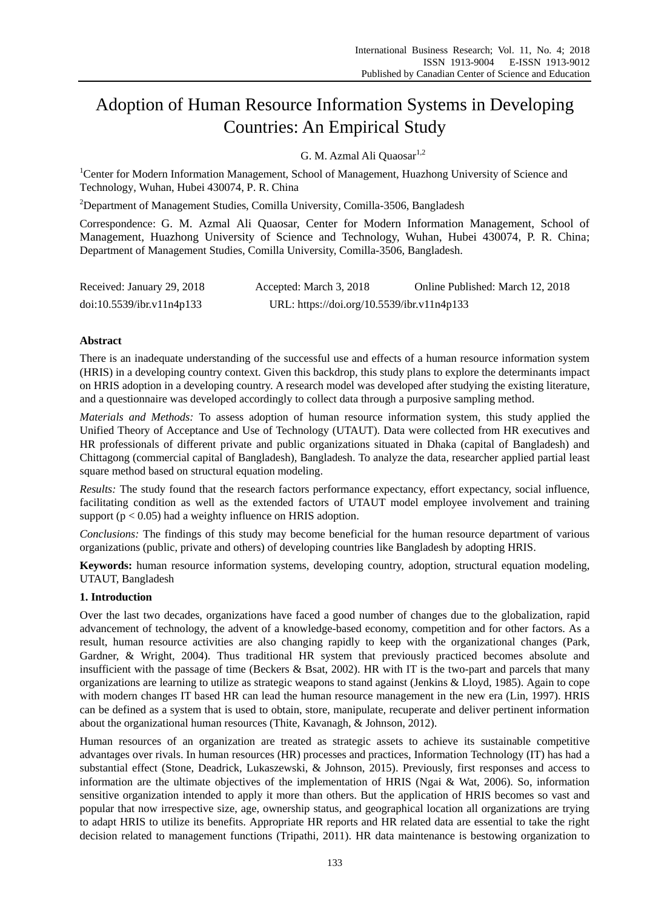# Adoption of Human Resource Information Systems in Developing Countries: An Empirical Study

G. M. Azmal Ali Quaosar<sup>1,2</sup>

<sup>1</sup>Center for Modern Information Management, School of Management, Huazhong University of Science and Technology, Wuhan, Hubei 430074, P. R. China

<sup>2</sup>Department of Management Studies, Comilla University, Comilla-3506, Bangladesh

Correspondence: G. M. Azmal Ali Quaosar, Center for Modern Information Management, School of Management, Huazhong University of Science and Technology, Wuhan, Hubei 430074, P. R. China; Department of Management Studies, Comilla University, Comilla-3506, Bangladesh.

| Received: January 29, 2018 | Accepted: March 3, 2018                    | Online Published: March 12, 2018 |
|----------------------------|--------------------------------------------|----------------------------------|
| doi:10.5539/ibr.v11n4p133  | URL: https://doi.org/10.5539/ibr.v11n4p133 |                                  |

## **Abstract**

There is an inadequate understanding of the successful use and effects of a human resource information system (HRIS) in a developing country context. Given this backdrop, this study plans to explore the determinants impact on HRIS adoption in a developing country. A research model was developed after studying the existing literature, and a questionnaire was developed accordingly to collect data through a purposive sampling method.

*Materials and Methods:* To assess adoption of human resource information system, this study applied the Unified Theory of Acceptance and Use of Technology (UTAUT). Data were collected from HR executives and HR professionals of different private and public organizations situated in Dhaka (capital of Bangladesh) and Chittagong (commercial capital of Bangladesh), Bangladesh. To analyze the data, researcher applied partial least square method based on structural equation modeling.

*Results:* The study found that the research factors performance expectancy, effort expectancy, social influence, facilitating condition as well as the extended factors of UTAUT model employee involvement and training support ( $p < 0.05$ ) had a weighty influence on HRIS adoption.

*Conclusions:* The findings of this study may become beneficial for the human resource department of various organizations (public, private and others) of developing countries like Bangladesh by adopting HRIS.

**Keywords:** human resource information systems, developing country, adoption, structural equation modeling, UTAUT, Bangladesh

## **1. Introduction**

Over the last two decades, organizations have faced a good number of changes due to the globalization, rapid advancement of technology, the advent of a knowledge-based economy, competition and for other factors. As a result, human resource activities are also changing rapidly to keep with the organizational changes (Park, Gardner, & Wright, 2004). Thus traditional HR system that previously practiced becomes absolute and insufficient with the passage of time (Beckers & Bsat, 2002). HR with IT is the two-part and parcels that many organizations are learning to utilize as strategic weapons to stand against (Jenkins & Lloyd, 1985). Again to cope with modern changes IT based HR can lead the human resource management in the new era (Lin, 1997). HRIS can be defined as a system that is used to obtain, store, manipulate, recuperate and deliver pertinent information about the organizational human resources (Thite, Kavanagh, & Johnson, 2012).

Human resources of an organization are treated as strategic assets to achieve its sustainable competitive advantages over rivals. In human resources (HR) processes and practices, Information Technology (IT) has had a substantial effect (Stone, Deadrick, Lukaszewski, & Johnson, 2015). Previously, first responses and access to information are the ultimate objectives of the implementation of HRIS (Ngai & Wat, 2006). So, information sensitive organization intended to apply it more than others. But the application of HRIS becomes so vast and popular that now irrespective size, age, ownership status, and geographical location all organizations are trying to adapt HRIS to utilize its benefits. Appropriate HR reports and HR related data are essential to take the right decision related to management functions (Tripathi, 2011). HR data maintenance is bestowing organization to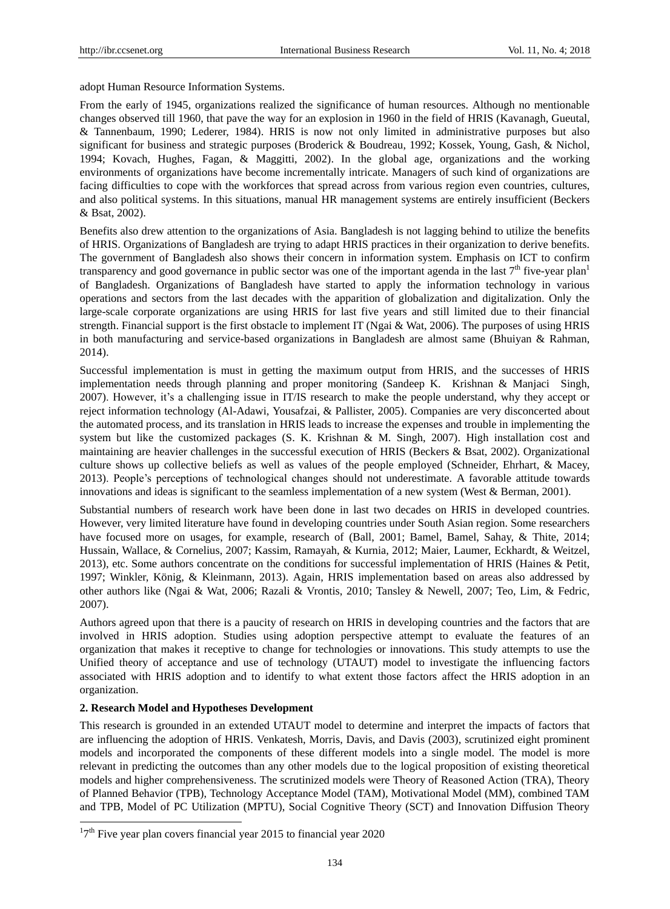adopt Human Resource Information Systems.

From the early of 1945, organizations realized the significance of human resources. Although no mentionable changes observed till 1960, that pave the way for an explosion in 1960 in the field of HRIS (Kavanagh, Gueutal, & Tannenbaum, 1990; Lederer, 1984). HRIS is now not only limited in administrative purposes but also significant for business and strategic purposes (Broderick & Boudreau, 1992; Kossek, Young, Gash, & Nichol, 1994; Kovach, Hughes, Fagan, & Maggitti, 2002). In the global age, organizations and the working environments of organizations have become incrementally intricate. Managers of such kind of organizations are facing difficulties to cope with the workforces that spread across from various region even countries, cultures, and also political systems. In this situations, manual HR management systems are entirely insufficient (Beckers & Bsat, 2002).

Benefits also drew attention to the organizations of Asia. Bangladesh is not lagging behind to utilize the benefits of HRIS. Organizations of Bangladesh are trying to adapt HRIS practices in their organization to derive benefits. The government of Bangladesh also shows their concern in information system. Emphasis on ICT to confirm transparency and good governance in public sector was one of the important agenda in the last  $7<sup>th</sup>$  five-year plan<sup>1</sup> of Bangladesh. Organizations of Bangladesh have started to apply the information technology in various operations and sectors from the last decades with the apparition of globalization and digitalization. Only the large-scale corporate organizations are using HRIS for last five years and still limited due to their financial strength. Financial support is the first obstacle to implement IT (Ngai & Wat, 2006). The purposes of using HRIS in both manufacturing and service-based organizations in Bangladesh are almost same (Bhuiyan & Rahman, 2014).

Successful implementation is must in getting the maximum output from HRIS, and the successes of HRIS implementation needs through planning and proper monitoring (Sandeep K. Krishnan & Manjaci Singh, 2007). However, it's a challenging issue in IT/IS research to make the people understand, why they accept or reject information technology (Al-Adawi, Yousafzai, & Pallister, 2005). Companies are very disconcerted about the automated process, and its translation in HRIS leads to increase the expenses and trouble in implementing the system but like the customized packages (S. K. Krishnan & M. Singh, 2007). High installation cost and maintaining are heavier challenges in the successful execution of HRIS (Beckers & Bsat, 2002). Organizational culture shows up collective beliefs as well as values of the people employed (Schneider, Ehrhart, & Macey, 2013). People's perceptions of technological changes should not underestimate. A favorable attitude towards innovations and ideas is significant to the seamless implementation of a new system (West & Berman, 2001).

Substantial numbers of research work have been done in last two decades on HRIS in developed countries. However, very limited literature have found in developing countries under South Asian region. Some researchers have focused more on usages, for example, research of (Ball, 2001; Bamel, Bamel, Sahay, & Thite, 2014; Hussain, Wallace, & Cornelius, 2007; Kassim, Ramayah, & Kurnia, 2012; Maier, Laumer, Eckhardt, & Weitzel, 2013), etc. Some authors concentrate on the conditions for successful implementation of HRIS (Haines & Petit, 1997; Winkler, König, & Kleinmann, 2013). Again, HRIS implementation based on areas also addressed by other authors like (Ngai & Wat, 2006; Razali & Vrontis, 2010; Tansley & Newell, 2007; Teo, Lim, & Fedric, 2007).

Authors agreed upon that there is a paucity of research on HRIS in developing countries and the factors that are involved in HRIS adoption. Studies using adoption perspective attempt to evaluate the features of an organization that makes it receptive to change for technologies or innovations. This study attempts to use the Unified theory of acceptance and use of technology (UTAUT) model to investigate the influencing factors associated with HRIS adoption and to identify to what extent those factors affect the HRIS adoption in an organization.

#### **2. Research Model and Hypotheses Development**

-

This research is grounded in an extended UTAUT model to determine and interpret the impacts of factors that are influencing the adoption of HRIS. Venkatesh, Morris, Davis, and Davis (2003), scrutinized eight prominent models and incorporated the components of these different models into a single model. The model is more relevant in predicting the outcomes than any other models due to the logical proposition of existing theoretical models and higher comprehensiveness. The scrutinized models were Theory of Reasoned Action (TRA), Theory of Planned Behavior (TPB), Technology Acceptance Model (TAM), Motivational Model (MM), combined TAM and TPB, Model of PC Utilization (MPTU), Social Cognitive Theory (SCT) and Innovation Diffusion Theory

 $17<sup>th</sup>$  Five year plan covers financial year 2015 to financial year 2020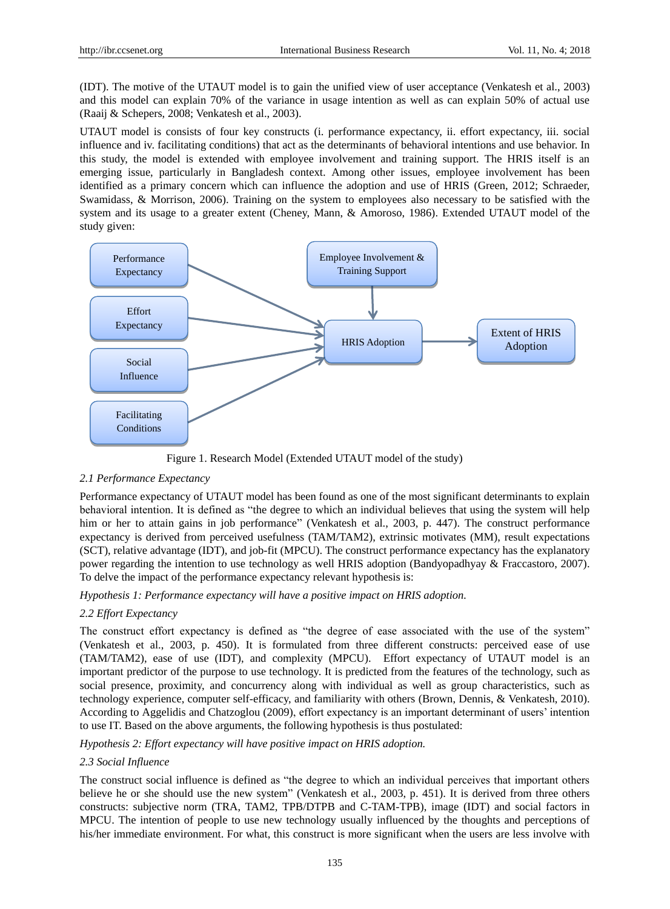(IDT). The motive of the UTAUT model is to gain the unified view of user acceptance (Venkatesh et al., 2003) and this model can explain 70% of the variance in usage intention as well as can explain 50% of actual use (Raaij & Schepers, 2008; Venkatesh et al., 2003).

UTAUT model is consists of four key constructs (i. performance expectancy, ii. effort expectancy, iii. social influence and iv. facilitating conditions) that act as the determinants of behavioral intentions and use behavior. In this study, the model is extended with employee involvement and training support. The HRIS itself is an emerging issue, particularly in Bangladesh context. Among other issues, employee involvement has been identified as a primary concern which can influence the adoption and use of HRIS (Green, 2012; Schraeder, Swamidass, & Morrison, 2006). Training on the system to employees also necessary to be satisfied with the system and its usage to a greater extent (Cheney, Mann, & Amoroso, 1986). Extended UTAUT model of the study given:



Figure 1. Research Model (Extended UTAUT model of the study)

## *2.1 Performance Expectancy*

Performance expectancy of UTAUT model has been found as one of the most significant determinants to explain behavioral intention. It is defined as "the degree to which an individual believes that using the system will help him or her to attain gains in job performance" (Venkatesh et al., 2003, p. 447). The construct performance expectancy is derived from perceived usefulness (TAM/TAM2), extrinsic motivates (MM), result expectations (SCT), relative advantage (IDT), and job-fit (MPCU). The construct performance expectancy has the explanatory power regarding the intention to use technology as well HRIS adoption (Bandyopadhyay & Fraccastoro, 2007). To delve the impact of the performance expectancy relevant hypothesis is:

*Hypothesis 1: Performance expectancy will have a positive impact on HRIS adoption.*

## *2.2 Effort Expectancy*

The construct effort expectancy is defined as "the degree of ease associated with the use of the system" (Venkatesh et al., 2003, p. 450). It is formulated from three different constructs: perceived ease of use (TAM/TAM2), ease of use (IDT), and complexity (MPCU). Effort expectancy of UTAUT model is an important predictor of the purpose to use technology. It is predicted from the features of the technology, such as social presence, proximity, and concurrency along with individual as well as group characteristics, such as technology experience, computer self-efficacy, and familiarity with others (Brown, Dennis, & Venkatesh, 2010). According to Aggelidis and Chatzoglou (2009), effort expectancy is an important determinant of users' intention to use IT. Based on the above arguments, the following hypothesis is thus postulated:

*Hypothesis 2: Effort expectancy will have positive impact on HRIS adoption.*

## *2.3 Social Influence*

The construct social influence is defined as "the degree to which an individual perceives that important others believe he or she should use the new system" (Venkatesh et al., 2003, p. 451). It is derived from three others constructs: subjective norm (TRA, TAM2, TPB/DTPB and C-TAM-TPB), image (IDT) and social factors in MPCU. The intention of people to use new technology usually influenced by the thoughts and perceptions of his/her immediate environment. For what, this construct is more significant when the users are less involve with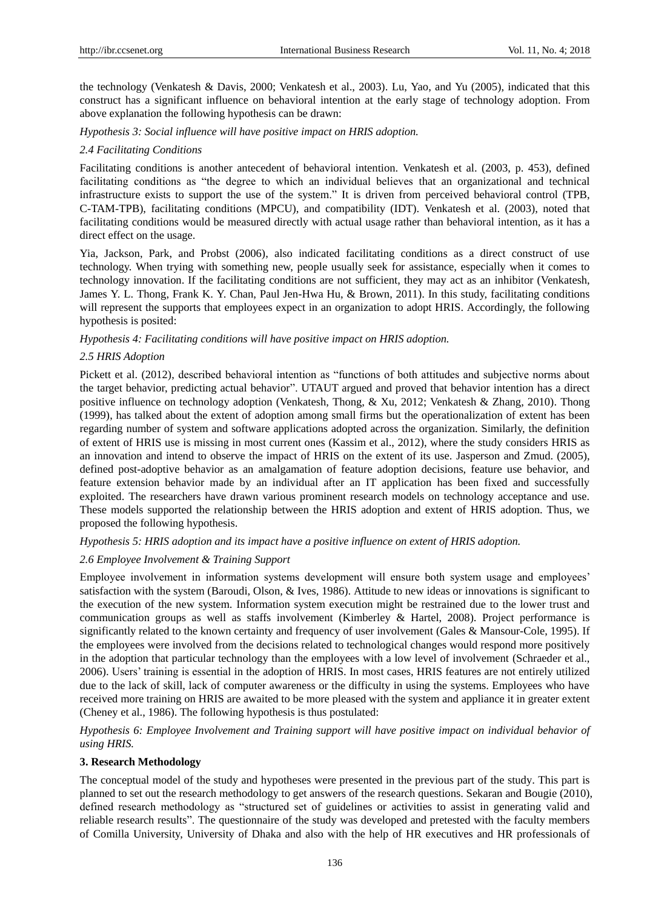the technology (Venkatesh & Davis, 2000; Venkatesh et al., 2003). Lu, Yao, and Yu (2005), indicated that this construct has a significant influence on behavioral intention at the early stage of technology adoption. From above explanation the following hypothesis can be drawn:

## *Hypothesis 3: Social influence will have positive impact on HRIS adoption.*

## *2.4 Facilitating Conditions*

Facilitating conditions is another antecedent of behavioral intention. Venkatesh et al. (2003, p. 453), defined facilitating conditions as "the degree to which an individual believes that an organizational and technical infrastructure exists to support the use of the system." It is driven from perceived behavioral control (TPB, C-TAM-TPB), facilitating conditions (MPCU), and compatibility (IDT). Venkatesh et al. (2003), noted that facilitating conditions would be measured directly with actual usage rather than behavioral intention, as it has a direct effect on the usage.

Yia, Jackson, Park, and Probst (2006), also indicated facilitating conditions as a direct construct of use technology. When trying with something new, people usually seek for assistance, especially when it comes to technology innovation. If the facilitating conditions are not sufficient, they may act as an inhibitor (Venkatesh, James Y. L. Thong, Frank K. Y. Chan, Paul Jen-Hwa Hu, & Brown, 2011). In this study, facilitating conditions will represent the supports that employees expect in an organization to adopt HRIS. Accordingly, the following hypothesis is posited:

*Hypothesis 4: Facilitating conditions will have positive impact on HRIS adoption.*

### *2.5 HRIS Adoption*

Pickett et al. (2012), described behavioral intention as "functions of both attitudes and subjective norms about the target behavior, predicting actual behavior". UTAUT argued and proved that behavior intention has a direct positive influence on technology adoption (Venkatesh, Thong, & Xu, 2012; Venkatesh & Zhang, 2010). Thong (1999), has talked about the extent of adoption among small firms but the operationalization of extent has been regarding number of system and software applications adopted across the organization. Similarly, the definition of extent of HRIS use is missing in most current ones (Kassim et al., 2012), where the study considers HRIS as an innovation and intend to observe the impact of HRIS on the extent of its use. Jasperson and Zmud. (2005), defined post-adoptive behavior as an amalgamation of feature adoption decisions, feature use behavior, and feature extension behavior made by an individual after an IT application has been fixed and successfully exploited. The researchers have drawn various prominent research models on technology acceptance and use. These models supported the relationship between the HRIS adoption and extent of HRIS adoption. Thus, we proposed the following hypothesis.

*Hypothesis 5: HRIS adoption and its impact have a positive influence on extent of HRIS adoption.*

## *2.6 Employee Involvement & Training Support*

Employee involvement in information systems development will ensure both system usage and employees' satisfaction with the system (Baroudi, Olson, & Ives, 1986). Attitude to new ideas or innovations is significant to the execution of the new system. Information system execution might be restrained due to the lower trust and communication groups as well as staffs involvement (Kimberley & Hartel, 2008). Project performance is significantly related to the known certainty and frequency of user involvement (Gales & Mansour-Cole, 1995). If the employees were involved from the decisions related to technological changes would respond more positively in the adoption that particular technology than the employees with a low level of involvement (Schraeder et al., 2006). Users' training is essential in the adoption of HRIS. In most cases, HRIS features are not entirely utilized due to the lack of skill, lack of computer awareness or the difficulty in using the systems. Employees who have received more training on HRIS are awaited to be more pleased with the system and appliance it in greater extent (Cheney et al., 1986). The following hypothesis is thus postulated:

*Hypothesis 6: Employee Involvement and Training support will have positive impact on individual behavior of using HRIS.*

#### **3. Research Methodology**

The conceptual model of the study and hypotheses were presented in the previous part of the study. This part is planned to set out the research methodology to get answers of the research questions. Sekaran and Bougie (2010), defined research methodology as "structured set of guidelines or activities to assist in generating valid and reliable research results". The questionnaire of the study was developed and pretested with the faculty members of Comilla University, University of Dhaka and also with the help of HR executives and HR professionals of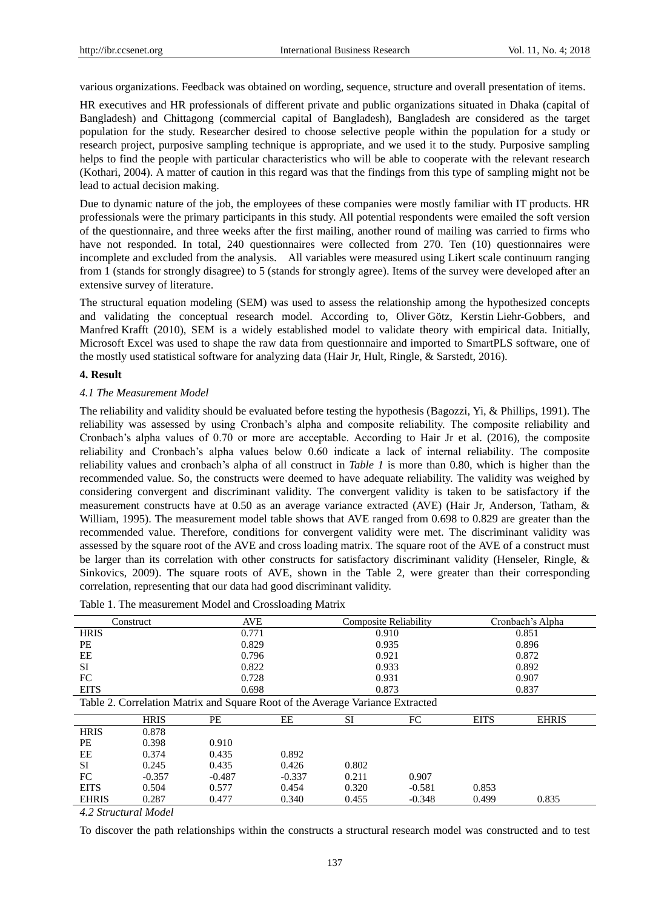various organizations. Feedback was obtained on wording, sequence, structure and overall presentation of items.

HR executives and HR professionals of different private and public organizations situated in Dhaka (capital of Bangladesh) and Chittagong (commercial capital of Bangladesh), Bangladesh are considered as the target population for the study. Researcher desired to choose selective people within the population for a study or research project, purposive sampling technique is appropriate, and we used it to the study. Purposive sampling helps to find the people with particular characteristics who will be able to cooperate with the relevant research (Kothari, 2004). A matter of caution in this regard was that the findings from this type of sampling might not be lead to actual decision making.

Due to dynamic nature of the job, the employees of these companies were mostly familiar with IT products. HR professionals were the primary participants in this study. All potential respondents were emailed the soft version of the questionnaire, and three weeks after the first mailing, another round of mailing was carried to firms who have not responded. In total, 240 questionnaires were collected from 270. Ten (10) questionnaires were incomplete and excluded from the analysis. All variables were measured using Likert scale continuum ranging from 1 (stands for strongly disagree) to 5 (stands for strongly agree). Items of the survey were developed after an extensive survey of literature.

The structural equation modeling (SEM) was used to assess the relationship among the hypothesized concepts and validating the conceptual research model. According to, Oliver Götz, Kerstin Liehr-Gobbers, and Manfred Krafft (2010), SEM is a widely established model to validate theory with empirical data. Initially, Microsoft Excel was used to shape the raw data from questionnaire and imported to SmartPLS software, one of the mostly used statistical software for analyzing data (Hair Jr, Hult, Ringle, & Sarstedt, 2016).

#### **4. Result**

#### *4.1 The Measurement Model*

The reliability and validity should be evaluated before testing the hypothesis (Bagozzi, Yi, & Phillips, 1991). The reliability was assessed by using Cronbach's alpha and composite reliability. The composite reliability and Cronbach's alpha values of 0.70 or more are acceptable. According to Hair Jr et al. (2016), the composite reliability and Cronbach's alpha values below 0.60 indicate a lack of internal reliability. The composite reliability values and cronbach's alpha of all construct in *Table 1* is more than 0.80, which is higher than the recommended value. So, the constructs were deemed to have adequate reliability. The validity was weighed by considering convergent and discriminant validity. The convergent validity is taken to be satisfactory if the measurement constructs have at 0.50 as an average variance extracted (AVE) (Hair Jr, Anderson, Tatham, & William, 1995). The measurement model table shows that AVE ranged from 0.698 to 0.829 are greater than the recommended value. Therefore, conditions for convergent validity were met. The discriminant validity was assessed by the square root of the AVE and cross loading matrix. The square root of the AVE of a construct must be larger than its correlation with other constructs for satisfactory discriminant validity (Henseler, Ringle, & Sinkovics, 2009). The square roots of AVE, shown in the Table 2, were greater than their corresponding correlation, representing that our data had good discriminant validity.

|                                                                               | <b>AVE</b><br>Construct |          |                | Composite Reliability |          | Cronbach's Alpha |              |  |
|-------------------------------------------------------------------------------|-------------------------|----------|----------------|-----------------------|----------|------------------|--------------|--|
| <b>HRIS</b>                                                                   |                         | 0.771    | 0.910          |                       | 0.851    |                  |              |  |
| <b>PE</b>                                                                     |                         |          | 0.829          |                       | 0.935    |                  | 0.896        |  |
| EE                                                                            |                         |          | 0.796<br>0.921 |                       | 0.872    |                  |              |  |
| <b>SI</b>                                                                     |                         | 0.822    |                | 0.933                 |          | 0.892            |              |  |
| FC                                                                            |                         | 0.728    |                | 0.931                 |          | 0.907            |              |  |
| <b>EITS</b>                                                                   |                         | 0.698    |                | 0.873                 |          | 0.837            |              |  |
| Table 2. Correlation Matrix and Square Root of the Average Variance Extracted |                         |          |                |                       |          |                  |              |  |
|                                                                               | <b>HRIS</b>             | PE       | EE             | SI                    | FC       | <b>EITS</b>      | <b>EHRIS</b> |  |
| <b>HRIS</b>                                                                   | 0.878                   |          |                |                       |          |                  |              |  |
| <b>PE</b>                                                                     | 0.398                   | 0.910    |                |                       |          |                  |              |  |
| EE                                                                            | 0.374                   | 0.435    | 0.892          |                       |          |                  |              |  |
| <b>SI</b>                                                                     | 0.245                   | 0.435    | 0.426          | 0.802                 |          |                  |              |  |
| FC                                                                            | $-0.357$                | $-0.487$ | $-0.337$       | 0.211                 | 0.907    |                  |              |  |
| <b>EITS</b>                                                                   | 0.504                   | 0.577    | 0.454          | 0.320                 | $-0.581$ | 0.853            |              |  |
| <b>EHRIS</b>                                                                  | 0.287                   | 0.477    | 0.340          | 0.455                 | $-0.348$ | 0.499            | 0.835        |  |

Table 1. The measurement Model and Crossloading Matrix

*4.2 Structural Model*

To discover the path relationships within the constructs a structural research model was constructed and to test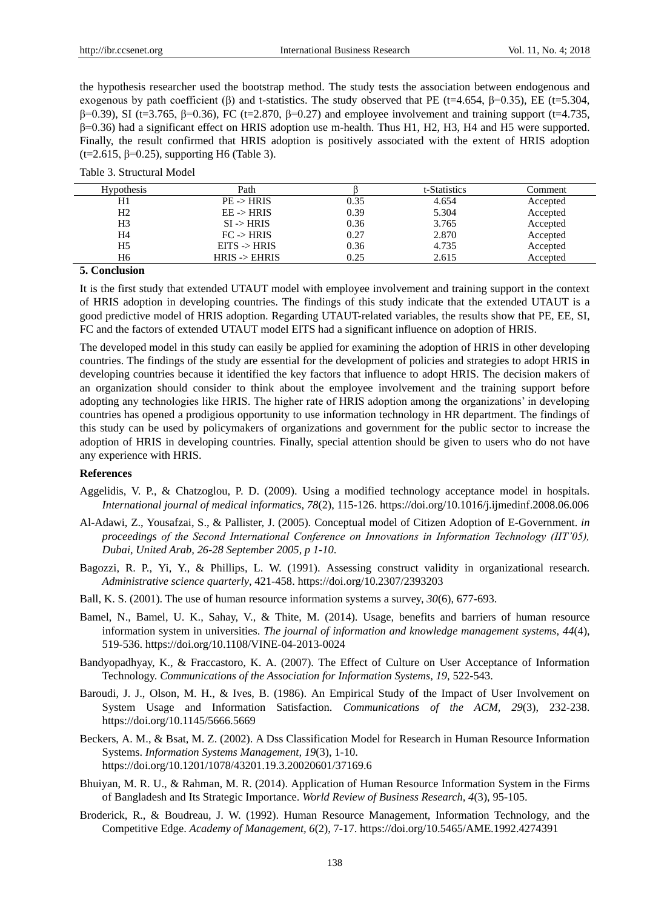the hypothesis researcher used the bootstrap method. The study tests the association between endogenous and exogenous by path coefficient (β) and t-statistics. The study observed that PE (t=4.654,  $\beta$ =0.35), EE (t=5.304,  $β=0.39$ ), SI (t=3.765, β=0.36), FC (t=2.870, β=0.27) and employee involvement and training support (t=4.735, β=0.36) had a significant effect on HRIS adoption use m-health. Thus H1, H2, H3, H4 and H5 were supported. Finally, the result confirmed that HRIS adoption is positively associated with the extent of HRIS adoption (t=2.615,  $\beta$ =0.25), supporting H6 (Table 3).

| Table 3. Structural Model |
|---------------------------|
|---------------------------|

| <b>Hypothesis</b> | Path                     |      | t-Statistics | Comment  |
|-------------------|--------------------------|------|--------------|----------|
| H1                | $PE \rightarrow HRIS$    | 0.35 | 4.654        | Accepted |
| H <sub>2</sub>    | $EE \rightarrow HRIS$    | 0.39 | 5.304        | Accepted |
| H <sub>3</sub>    | $SI \rightarrow HRIS$    | 0.36 | 3.765        | Accepted |
| H4                | $FC \rightarrow HRIS$    | 0.27 | 2.870        | Accepted |
| H <sub>5</sub>    | $EITS$ -> $HRIS$         | 0.36 | 4.735        | Accepted |
| H6                | $HRIS \rightarrow EHRIS$ | 0.25 | 2.615        | Accepted |

#### **5. Conclusion**

It is the first study that extended UTAUT model with employee involvement and training support in the context of HRIS adoption in developing countries. The findings of this study indicate that the extended UTAUT is a good predictive model of HRIS adoption. Regarding UTAUT-related variables, the results show that PE, EE, SI, FC and the factors of extended UTAUT model EITS had a significant influence on adoption of HRIS.

The developed model in this study can easily be applied for examining the adoption of HRIS in other developing countries. The findings of the study are essential for the development of policies and strategies to adopt HRIS in developing countries because it identified the key factors that influence to adopt HRIS. The decision makers of an organization should consider to think about the employee involvement and the training support before adopting any technologies like HRIS. The higher rate of HRIS adoption among the organizations' in developing countries has opened a prodigious opportunity to use information technology in HR department. The findings of this study can be used by policymakers of organizations and government for the public sector to increase the adoption of HRIS in developing countries. Finally, special attention should be given to users who do not have any experience with HRIS.

#### **References**

- Aggelidis, V. P., & Chatzoglou, P. D. (2009). Using a modified technology acceptance model in hospitals. *International journal of medical informatics, 78*(2), 115-126. https://doi.org/10.1016/j.ijmedinf.2008.06.006
- Al-Adawi, Z., Yousafzai, S., & Pallister, J. (2005). Conceptual model of Citizen Adoption of E-Government. *in proceedings of the Second International Conference on Innovations in Information Technology (IIT'05), Dubai, United Arab, 26-28 September 2005, p 1-10*.
- Bagozzi, R. P., Yi, Y., & Phillips, L. W. (1991). Assessing construct validity in organizational research. *Administrative science quarterly*, 421-458. https://doi.org/10.2307/2393203
- Ball, K. S. (2001). The use of human resource information systems a survey, *30*(6), 677-693.
- Bamel, N., Bamel, U. K., Sahay, V., & Thite, M. (2014). Usage, benefits and barriers of human resource information system in universities. *The journal of information and knowledge management systems, 44*(4), 519-536. https://doi.org/10.1108/VINE-04-2013-0024
- Bandyopadhyay, K., & Fraccastoro, K. A. (2007). The Effect of Culture on User Acceptance of Information Technology. *Communications of the Association for Information Systems, 19*, 522-543.
- Baroudi, J. J., Olson, M. H., & Ives, B. (1986). An Empirical Study of the Impact of User Involvement on System Usage and Information Satisfaction. *Communications of the ACM, 29*(3), 232-238. https://doi.org/10.1145/5666.5669
- Beckers, A. M., & Bsat, M. Z. (2002). A Dss Classification Model for Research in Human Resource Information Systems. *Information Systems Management, 19*(3), 1-10. https://doi.org/10.1201/1078/43201.19.3.20020601/37169.6
- Bhuiyan, M. R. U., & Rahman, M. R. (2014). Application of Human Resource Information System in the Firms of Bangladesh and Its Strategic Importance. *World Review of Business Research, 4*(3), 95-105.
- Broderick, R., & Boudreau, J. W. (1992). Human Resource Management, Information Technology, and the Competitive Edge. *Academy of Management, 6*(2), 7-17. https://doi.org/10.5465/AME.1992.4274391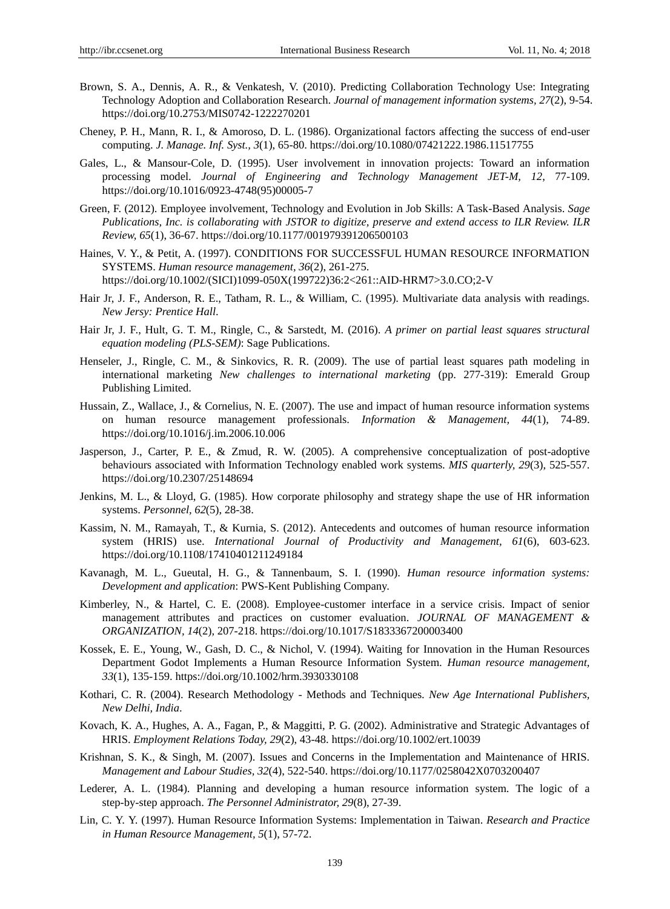- Brown, S. A., Dennis, A. R., & Venkatesh, V. (2010). Predicting Collaboration Technology Use: Integrating Technology Adoption and Collaboration Research. *Journal of management information systems, 27*(2), 9-54. https://doi.org/10.2753/MIS0742-1222270201
- Cheney, P. H., Mann, R. I., & Amoroso, D. L. (1986). Organizational factors affecting the success of end-user computing. *J. Manage. Inf. Syst., 3*(1), 65-80. https://doi.org/10.1080/07421222.1986.11517755
- Gales, L., & Mansour-Cole, D. (1995). User involvement in innovation projects: Toward an information processing model. *Journal of Engineering and Technology Management JET-M, 12*, 77-109. https://doi.org/10.1016/0923-4748(95)00005-7
- Green, F. (2012). Employee involvement, Technology and Evolution in Job Skills: A Task-Based Analysis. *Sage Publications, Inc. is collaborating with JSTOR to digitize, preserve and extend access to ILR Review. ILR Review, 65*(1), 36-67. https://doi.org/10.1177/001979391206500103
- Haines, V. Y., & Petit, A. (1997). CONDITIONS FOR SUCCESSFUL HUMAN RESOURCE INFORMATION SYSTEMS. *Human resource management, 36*(2), 261-275. https://doi.org/10.1002/(SICI)1099-050X(199722)36:2<261::AID-HRM7>3.0.CO;2-V
- Hair Jr, J. F., Anderson, R. E., Tatham, R. L., & William, C. (1995). Multivariate data analysis with readings. *New Jersy: Prentice Hall*.
- Hair Jr, J. F., Hult, G. T. M., Ringle, C., & Sarstedt, M. (2016). *A primer on partial least squares structural equation modeling (PLS-SEM)*: Sage Publications.
- Henseler, J., Ringle, C. M., & Sinkovics, R. R. (2009). The use of partial least squares path modeling in international marketing *New challenges to international marketing* (pp. 277-319): Emerald Group Publishing Limited.
- Hussain, Z., Wallace, J., & Cornelius, N. E. (2007). The use and impact of human resource information systems on human resource management professionals. *Information & Management, 44*(1), 74-89. https://doi.org/10.1016/j.im.2006.10.006
- Jasperson, J., Carter, P. E., & Zmud, R. W. (2005). A comprehensive conceptualization of post-adoptive behaviours associated with Information Technology enabled work systems. *MIS quarterly, 29*(3), 525-557. https://doi.org/10.2307/25148694
- Jenkins, M. L., & Lloyd, G. (1985). How corporate philosophy and strategy shape the use of HR information systems. *Personnel, 62*(5), 28-38.
- Kassim, N. M., Ramayah, T., & Kurnia, S. (2012). Antecedents and outcomes of human resource information system (HRIS) use. *International Journal of Productivity and Management, 61*(6), 603-623. https://doi.org/10.1108/17410401211249184
- Kavanagh, M. L., Gueutal, H. G., & Tannenbaum, S. I. (1990). *Human resource information systems: Development and application*: PWS-Kent Publishing Company.
- Kimberley, N., & Hartel, C. E. (2008). Employee-customer interface in a service crisis. Impact of senior management attributes and practices on customer evaluation. *JOURNAL OF MANAGEMENT & ORGANIZATION, 14*(2), 207-218. https://doi.org/10.1017/S1833367200003400
- Kossek, E. E., Young, W., Gash, D. C., & Nichol, V. (1994). Waiting for Innovation in the Human Resources Department Godot Implements a Human Resource Information System. *Human resource management, 33*(1), 135-159. https://doi.org/10.1002/hrm.3930330108
- Kothari, C. R. (2004). Research Methodology Methods and Techniques. *New Age International Publishers, New Delhi, India*.
- Kovach, K. A., Hughes, A. A., Fagan, P., & Maggitti, P. G. (2002). Administrative and Strategic Advantages of HRIS. *Employment Relations Today, 29*(2), 43-48. https://doi.org/10.1002/ert.10039
- Krishnan, S. K., & Singh, M. (2007). Issues and Concerns in the Implementation and Maintenance of HRIS. *Management and Labour Studies, 32*(4), 522-540. https://doi.org/10.1177/0258042X0703200407
- Lederer, A. L. (1984). Planning and developing a human resource information system. The logic of a step-by-step approach. *The Personnel Administrator, 29*(8), 27-39.
- Lin, C. Y. Y. (1997). Human Resource Information Systems: Implementation in Taiwan. *Research and Practice in Human Resource Management, 5*(1), 57-72.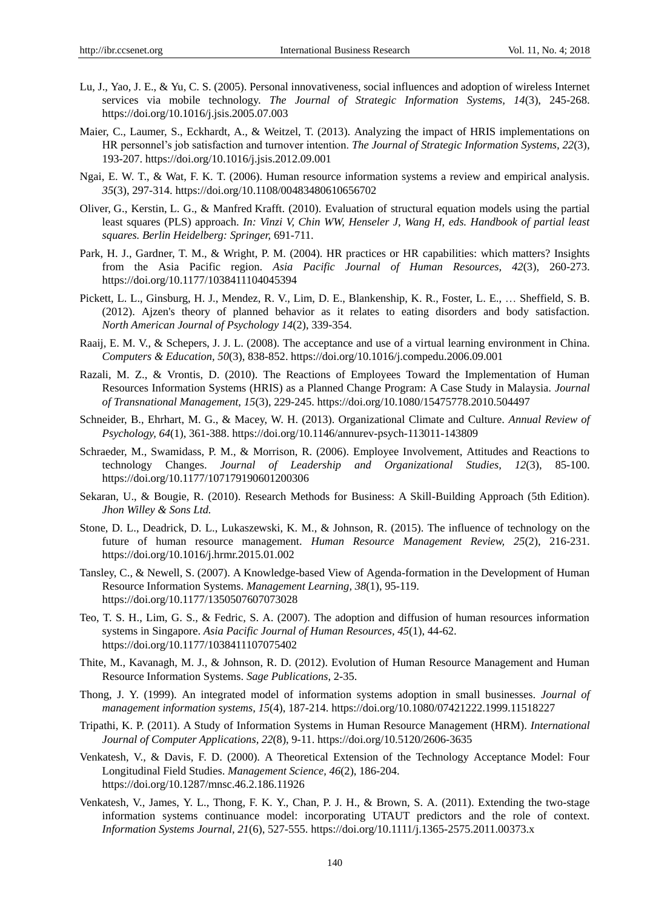- Lu, J., Yao, J. E., & Yu, C. S. (2005). Personal innovativeness, social influences and adoption of wireless Internet services via mobile technology. *The Journal of Strategic Information Systems, 14*(3), 245-268. https://doi.org/10.1016/j.jsis.2005.07.003
- Maier, C., Laumer, S., Eckhardt, A., & Weitzel, T. (2013). Analyzing the impact of HRIS implementations on HR personnel's job satisfaction and turnover intention. *The Journal of Strategic Information Systems, 22*(3), 193-207. https://doi.org/10.1016/j.jsis.2012.09.001
- Ngai, E. W. T., & Wat, F. K. T. (2006). Human resource information systems a review and empirical analysis. *35*(3), 297-314. https://doi.org/10.1108/00483480610656702
- Oliver, G., Kerstin, L. G., & Manfred Krafft. (2010). Evaluation of structural equation models using the partial least squares (PLS) approach. *In: Vinzi V, Chin WW, Henseler J, Wang H, eds. Handbook of partial least squares. Berlin Heidelberg: Springer,* 691-711.
- Park, H. J., Gardner, T. M., & Wright, P. M. (2004). HR practices or HR capabilities: which matters? Insights from the Asia Pacific region. *Asia Pacific Journal of Human Resources, 42*(3), 260-273. https://doi.org/10.1177/1038411104045394
- Pickett, L. L., Ginsburg, H. J., Mendez, R. V., Lim, D. E., Blankenship, K. R., Foster, L. E., … Sheffield, S. B. (2012). Ajzen's theory of planned behavior as it relates to eating disorders and body satisfaction. *North American Journal of Psychology 14*(2), 339-354.
- Raaij, E. M. V., & Schepers, J. J. L. (2008). The acceptance and use of a virtual learning environment in China. *Computers & Education, 50*(3), 838-852. https://doi.org/10.1016/j.compedu.2006.09.001
- Razali, M. Z., & Vrontis, D. (2010). The Reactions of Employees Toward the Implementation of Human Resources Information Systems (HRIS) as a Planned Change Program: A Case Study in Malaysia. *Journal of Transnational Management, 15*(3), 229-245. https://doi.org/10.1080/15475778.2010.504497
- Schneider, B., Ehrhart, M. G., & Macey, W. H. (2013). Organizational Climate and Culture. *Annual Review of Psychology, 64*(1), 361-388. https://doi.org/10.1146/annurev-psych-113011-143809
- Schraeder, M., Swamidass, P. M., & Morrison, R. (2006). Employee Involvement, Attitudes and Reactions to technology Changes. *Journal of Leadership and Organizational Studies, 12*(3), 85-100. https://doi.org/10.1177/107179190601200306
- Sekaran, U., & Bougie, R. (2010). Research Methods for Business: A Skill-Building Approach (5th Edition). *Jhon Willey & Sons Ltd.*
- Stone, D. L., Deadrick, D. L., Lukaszewski, K. M., & Johnson, R. (2015). The influence of technology on the future of human resource management. *Human Resource Management Review, 25*(2), 216-231. https://doi.org/10.1016/j.hrmr.2015.01.002
- Tansley, C., & Newell, S. (2007). A Knowledge-based View of Agenda-formation in the Development of Human Resource Information Systems. *Management Learning, 38*(1), 95-119. https://doi.org/10.1177/1350507607073028
- Teo, T. S. H., Lim, G. S., & Fedric, S. A. (2007). The adoption and diffusion of human resources information systems in Singapore. *Asia Pacific Journal of Human Resources, 45*(1), 44-62. https://doi.org/10.1177/1038411107075402
- Thite, M., Kavanagh, M. J., & Johnson, R. D. (2012). Evolution of Human Resource Management and Human Resource Information Systems. *Sage Publications*, 2-35.
- Thong, J. Y. (1999). An integrated model of information systems adoption in small businesses. *Journal of management information systems, 15*(4), 187-214. https://doi.org/10.1080/07421222.1999.11518227
- Tripathi, K. P. (2011). A Study of Information Systems in Human Resource Management (HRM). *International Journal of Computer Applications, 22*(8), 9-11. https://doi.org/10.5120/2606-3635
- Venkatesh, V., & Davis, F. D. (2000). A Theoretical Extension of the Technology Acceptance Model: Four Longitudinal Field Studies. *Management Science, 46*(2), 186-204. https://doi.org/10.1287/mnsc.46.2.186.11926
- Venkatesh, V., James, Y. L., Thong, F. K. Y., Chan, P. J. H., & Brown, S. A. (2011). Extending the two-stage information systems continuance model: incorporating UTAUT predictors and the role of context. *Information Systems Journal, 21*(6), 527-555. https://doi.org/10.1111/j.1365-2575.2011.00373.x